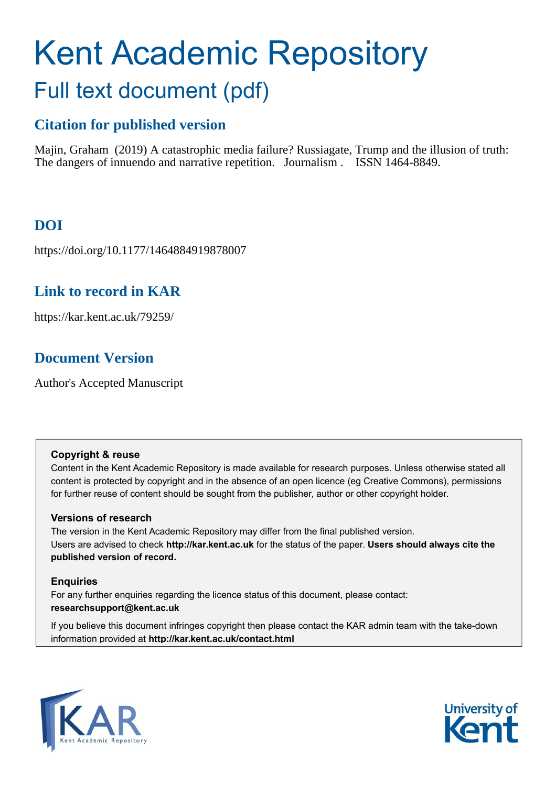# Kent Academic Repository Full text document (pdf)

# **Citation for published version**

Majin, Graham (2019) A catastrophic media failure? Russiagate, Trump and the illusion of truth: The dangers of innuendo and narrative repetition. Journalism . ISSN 1464-8849.

# **DOI**

https://doi.org/10.1177/1464884919878007

# **Link to record in KAR**

https://kar.kent.ac.uk/79259/

# **Document Version**

Author's Accepted Manuscript

# **Copyright & reuse**

Content in the Kent Academic Repository is made available for research purposes. Unless otherwise stated all content is protected by copyright and in the absence of an open licence (eg Creative Commons), permissions for further reuse of content should be sought from the publisher, author or other copyright holder.

# **Versions of research**

The version in the Kent Academic Repository may differ from the final published version. Users are advised to check **http://kar.kent.ac.uk** for the status of the paper. **Users should always cite the published version of record.**

# **Enquiries**

For any further enquiries regarding the licence status of this document, please contact: **researchsupport@kent.ac.uk**

If you believe this document infringes copyright then please contact the KAR admin team with the take-down information provided at **http://kar.kent.ac.uk/contact.html**



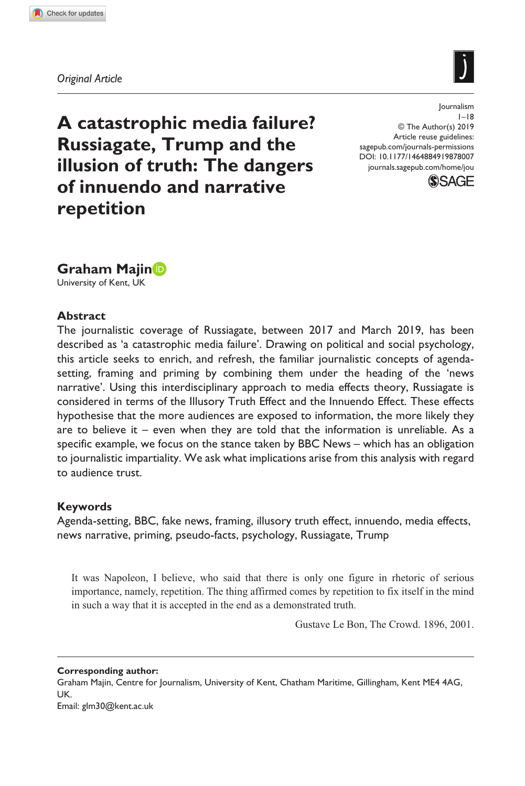**8780[07](http://crossmark.crossref.org/dialog/?doi=10.1177%2F1464884919878007&domain=pdf&date_stamp=2019-09-30)**JOU0010.1177/1464884919878007Journalism**Majin**

*Original Article*



**A catastrophic media failure? Russiagate, Trump and the illusion of truth: The dangers of innuendo and narrative repetition**

https://doi.org/10.1177/1464884919878007 DOI: 10.1177/1464884919878007 Journalism  $1 - 18$ © The Author(s) 2019 Article reuse guidelines: [sagepub.com/journals-permissions](https://uk.sagepub.com/en-gb/journals-permissions) [journals.sagepub.com/home/jou](https://journals.sagepub.com/home/jou)



# **Graham Majin**

University of Kent, UK

## **Abstract**

The journalistic coverage of Russiagate, between 2017 and March 2019, has been described as 'a catastrophic media failure'. Drawing on political and social psychology, this article seeks to enrich, and refresh, the familiar journalistic concepts of agendasetting, framing and priming by combining them under the heading of the 'news narrative'. Using this interdisciplinary approach to media effects theory, Russiagate is considered in terms of the Illusory Truth Effect and the Innuendo Effect. These effects hypothesise that the more audiences are exposed to information, the more likely they are to believe it – even when they are told that the information is unreliable. As a specific example, we focus on the stance taken by BBC News – which has an obligation to journalistic impartiality. We ask what implications arise from this analysis with regard to audience trust.

# **Keywords**

Agenda-setting, BBC, fake news, framing, illusory truth effect, innuendo, media effects, news narrative, priming, pseudo-facts, psychology, Russiagate, Trump

It was Napoleon, I believe, who said that there is only one figure in rhetoric of serious importance, namely, repetition. The thing affirmed comes by repetition to fix itself in the mind in such a way that it is accepted in the end as a demonstrated truth.

Gustave Le Bon, The Crowd. 1896, 2001.

**Corresponding author:** Graham Majin, Centre for Journalism, University of Kent, Chatham Maritime, Gillingham, Kent ME4 4AG, UK. Email: [glm30@kent.ac.uk](mailto:glm30@kent.ac.uk)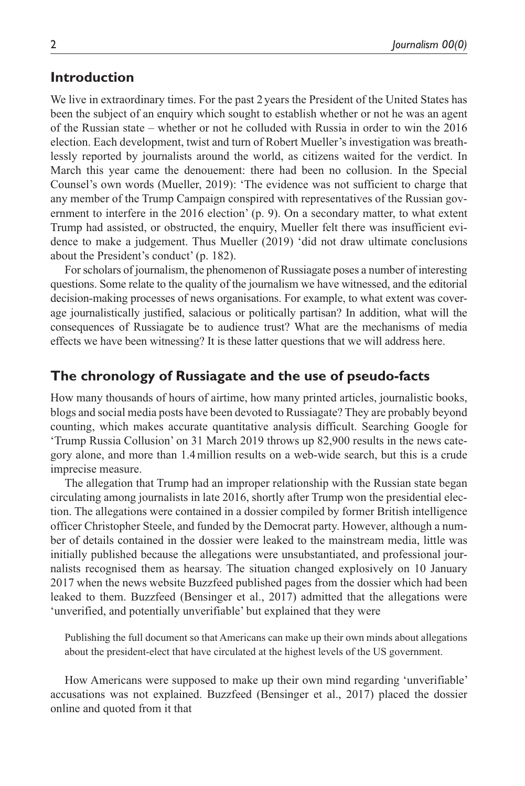## **Introduction**

We live in extraordinary times. For the past 2 years the President of the United States has been the subject of an enquiry which sought to establish whether or not he was an agent of the Russian state – whether or not he colluded with Russia in order to win the 2016 election. Each development, twist and turn of Robert Mueller's investigation was breathlessly reported by journalists around the world, as citizens waited for the verdict. In March this year came the denouement: there had been no collusion. In the Special Counsel's own words (Mueller, 2019): 'The evidence was not sufficient to charge that any member of the Trump Campaign conspired with representatives of the Russian government to interfere in the 2016 election' (p. 9). On a secondary matter, to what extent Trump had assisted, or obstructed, the enquiry, Mueller felt there was insufficient evidence to make a judgement. Thus Mueller (2019) 'did not draw ultimate conclusions about the President's conduct' (p. 182).

For scholars of journalism, the phenomenon of Russiagate poses a number of interesting questions. Some relate to the quality of the journalism we have witnessed, and the editorial decision-making processes of news organisations. For example, to what extent was coverage journalistically justified, salacious or politically partisan? In addition, what will the consequences of Russiagate be to audience trust? What are the mechanisms of media effects we have been witnessing? It is these latter questions that we will address here.

# **The chronology of Russiagate and the use of pseudo-facts**

How many thousands of hours of airtime, how many printed articles, journalistic books, blogs and social media posts have been devoted to Russiagate? They are probably beyond counting, which makes accurate quantitative analysis difficult. Searching Google for 'Trump Russia Collusion' on 31 March 2019 throws up 82,900 results in the news category alone, and more than 1.4million results on a web-wide search, but this is a crude imprecise measure.

The allegation that Trump had an improper relationship with the Russian state began circulating among journalists in late 2016, shortly after Trump won the presidential election. The allegations were contained in a dossier compiled by former British intelligence officer Christopher Steele, and funded by the Democrat party. However, although a number of details contained in the dossier were leaked to the mainstream media, little was initially published because the allegations were unsubstantiated, and professional journalists recognised them as hearsay. The situation changed explosively on 10 January 2017 when the news website Buzzfeed published pages from the dossier which had been leaked to them. Buzzfeed (Bensinger et al., 2017) admitted that the allegations were 'unverified, and potentially unverifiable' but explained that they were

Publishing the full document so that Americans can make up their own minds about allegations about the president-elect that have circulated at the highest levels of the US government.

How Americans were supposed to make up their own mind regarding 'unverifiable' accusations was not explained. Buzzfeed (Bensinger et al., 2017) placed the dossier online and quoted from it that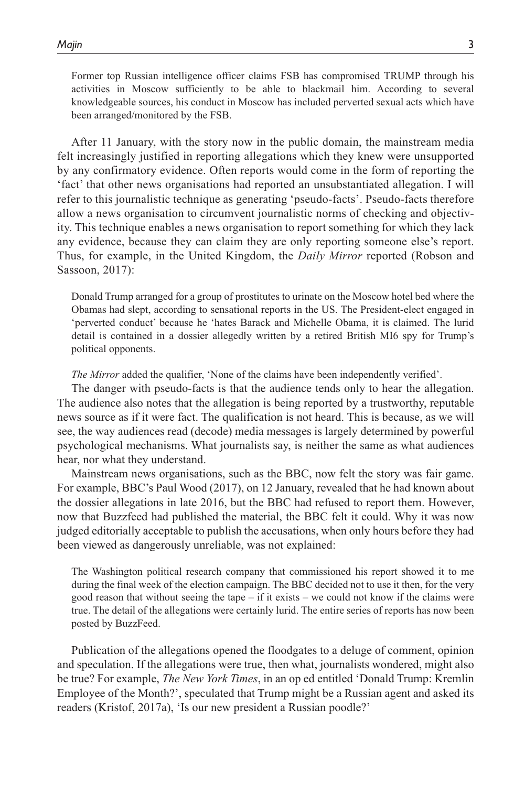Former top Russian intelligence officer claims FSB has compromised TRUMP through his activities in Moscow sufficiently to be able to blackmail him. According to several knowledgeable sources, his conduct in Moscow has included perverted sexual acts which have been arranged/monitored by the FSB.

After 11 January, with the story now in the public domain, the mainstream media felt increasingly justified in reporting allegations which they knew were unsupported by any confirmatory evidence. Often reports would come in the form of reporting the 'fact' that other news organisations had reported an unsubstantiated allegation. I will refer to this journalistic technique as generating 'pseudo-facts'. Pseudo-facts therefore allow a news organisation to circumvent journalistic norms of checking and objectivity. This technique enables a news organisation to report something for which they lack any evidence, because they can claim they are only reporting someone else's report. Thus, for example, in the United Kingdom, the *Daily Mirror* reported (Robson and Sassoon, 2017):

Donald Trump arranged for a group of prostitutes to urinate on the Moscow hotel bed where the Obamas had slept, according to sensational reports in the US. The President-elect engaged in 'perverted conduct' because he 'hates Barack and Michelle Obama, it is claimed. The lurid detail is contained in a dossier allegedly written by a retired British MI6 spy for Trump's political opponents.

*The Mirror* added the qualifier, 'None of the claims have been independently verified'.

The danger with pseudo-facts is that the audience tends only to hear the allegation. The audience also notes that the allegation is being reported by a trustworthy, reputable news source as if it were fact. The qualification is not heard. This is because, as we will see, the way audiences read (decode) media messages is largely determined by powerful psychological mechanisms. What journalists say, is neither the same as what audiences hear, nor what they understand.

Mainstream news organisations, such as the BBC, now felt the story was fair game. For example, BBC's Paul Wood (2017), on 12 January, revealed that he had known about the dossier allegations in late 2016, but the BBC had refused to report them. However, now that Buzzfeed had published the material, the BBC felt it could. Why it was now judged editorially acceptable to publish the accusations, when only hours before they had been viewed as dangerously unreliable, was not explained:

The Washington political research company that commissioned his report showed it to me during the final week of the election campaign. The BBC decided not to use it then, for the very good reason that without seeing the tape – if it exists – we could not know if the claims were true. The detail of the allegations were certainly lurid. The entire series of reports has now been posted by BuzzFeed.

Publication of the allegations opened the floodgates to a deluge of comment, opinion and speculation. If the allegations were true, then what, journalists wondered, might also be true? For example, *The New York Times*, in an op ed entitled 'Donald Trump: Kremlin Employee of the Month?', speculated that Trump might be a Russian agent and asked its readers (Kristof, 2017a), 'Is our new president a Russian poodle?'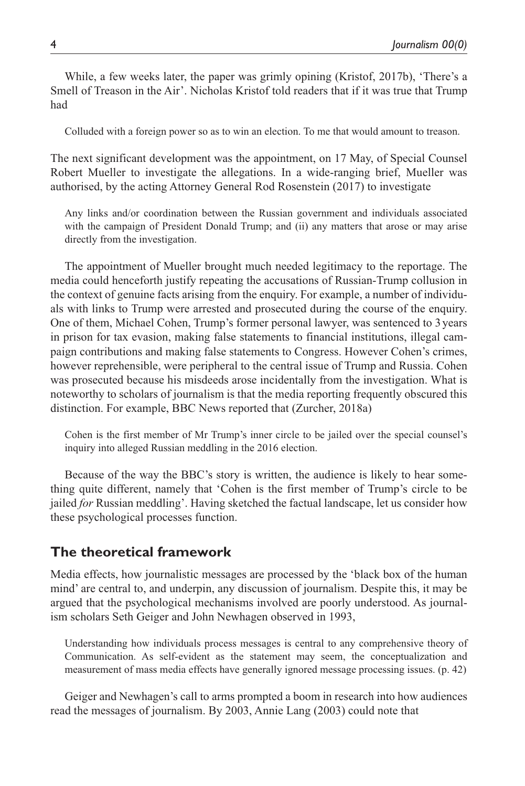While, a few weeks later, the paper was grimly opining (Kristof, 2017b), 'There's a Smell of Treason in the Air'. Nicholas Kristof told readers that if it was true that Trump had

Colluded with a foreign power so as to win an election. To me that would amount to treason.

The next significant development was the appointment, on 17 May, of Special Counsel Robert Mueller to investigate the allegations. In a wide-ranging brief, Mueller was authorised, by the acting Attorney General Rod Rosenstein (2017) to investigate

Any links and/or coordination between the Russian government and individuals associated with the campaign of President Donald Trump; and (ii) any matters that arose or may arise directly from the investigation.

The appointment of Mueller brought much needed legitimacy to the reportage. The media could henceforth justify repeating the accusations of Russian-Trump collusion in the context of genuine facts arising from the enquiry. For example, a number of individuals with links to Trump were arrested and prosecuted during the course of the enquiry. One of them, Michael Cohen, Trump's former personal lawyer, was sentenced to 3years in prison for tax evasion, making false statements to financial institutions, illegal campaign contributions and making false statements to Congress. However Cohen's crimes, however reprehensible, were peripheral to the central issue of Trump and Russia. Cohen was prosecuted because his misdeeds arose incidentally from the investigation. What is noteworthy to scholars of journalism is that the media reporting frequently obscured this distinction. For example, BBC News reported that (Zurcher, 2018a)

Cohen is the first member of Mr Trump's inner circle to be jailed over the special counsel's inquiry into alleged Russian meddling in the 2016 election.

Because of the way the BBC's story is written, the audience is likely to hear something quite different, namely that 'Cohen is the first member of Trump's circle to be jailed *for* Russian meddling'. Having sketched the factual landscape, let us consider how these psychological processes function.

# **The theoretical framework**

Media effects, how journalistic messages are processed by the 'black box of the human mind' are central to, and underpin, any discussion of journalism. Despite this, it may be argued that the psychological mechanisms involved are poorly understood. As journalism scholars Seth Geiger and John Newhagen observed in 1993,

Understanding how individuals process messages is central to any comprehensive theory of Communication. As self-evident as the statement may seem, the conceptualization and measurement of mass media effects have generally ignored message processing issues. (p. 42)

Geiger and Newhagen's call to arms prompted a boom in research into how audiences read the messages of journalism. By 2003, Annie Lang (2003) could note that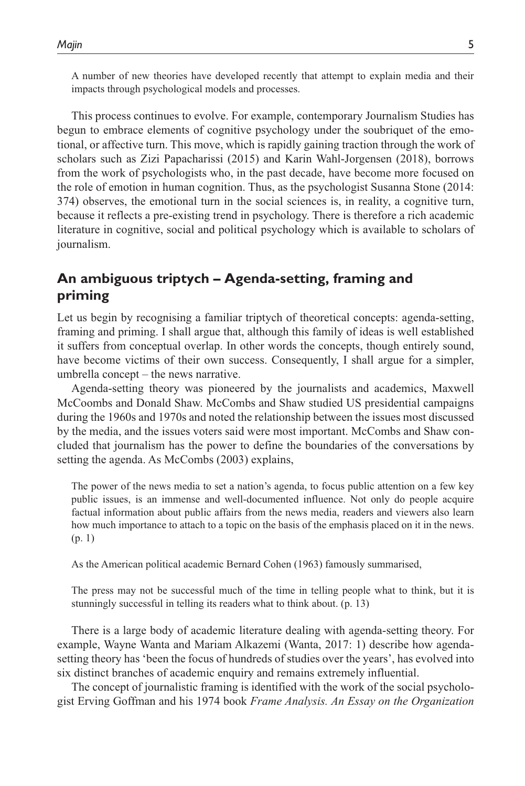A number of new theories have developed recently that attempt to explain media and their impacts through psychological models and processes.

This process continues to evolve. For example, contemporary Journalism Studies has begun to embrace elements of cognitive psychology under the soubriquet of the emotional, or affective turn. This move, which is rapidly gaining traction through the work of scholars such as Zizi Papacharissi (2015) and Karin Wahl-Jorgensen (2018), borrows from the work of psychologists who, in the past decade, have become more focused on the role of emotion in human cognition. Thus, as the psychologist Susanna Stone (2014: 374) observes, the emotional turn in the social sciences is, in reality, a cognitive turn, because it reflects a pre-existing trend in psychology. There is therefore a rich academic literature in cognitive, social and political psychology which is available to scholars of journalism.

# **An ambiguous triptych – Agenda-setting, framing and priming**

Let us begin by recognising a familiar triptych of theoretical concepts: agenda-setting, framing and priming. I shall argue that, although this family of ideas is well established it suffers from conceptual overlap. In other words the concepts, though entirely sound, have become victims of their own success. Consequently, I shall argue for a simpler, umbrella concept – the news narrative.

Agenda-setting theory was pioneered by the journalists and academics, Maxwell McCoombs and Donald Shaw. McCombs and Shaw studied US presidential campaigns during the 1960s and 1970s and noted the relationship between the issues most discussed by the media, and the issues voters said were most important. McCombs and Shaw concluded that journalism has the power to define the boundaries of the conversations by setting the agenda. As McCombs (2003) explains,

The power of the news media to set a nation's agenda, to focus public attention on a few key public issues, is an immense and well-documented influence. Not only do people acquire factual information about public affairs from the news media, readers and viewers also learn how much importance to attach to a topic on the basis of the emphasis placed on it in the news. (p. 1)

As the American political academic Bernard Cohen (1963) famously summarised,

The press may not be successful much of the time in telling people what to think, but it is stunningly successful in telling its readers what to think about. (p. 13)

There is a large body of academic literature dealing with agenda-setting theory. For example, Wayne Wanta and Mariam Alkazemi (Wanta, 2017: 1) describe how agendasetting theory has 'been the focus of hundreds of studies over the years', has evolved into six distinct branches of academic enquiry and remains extremely influential.

The concept of journalistic framing is identified with the work of the social psychologist Erving Goffman and his 1974 book *Frame Analysis. An Essay on the Organization*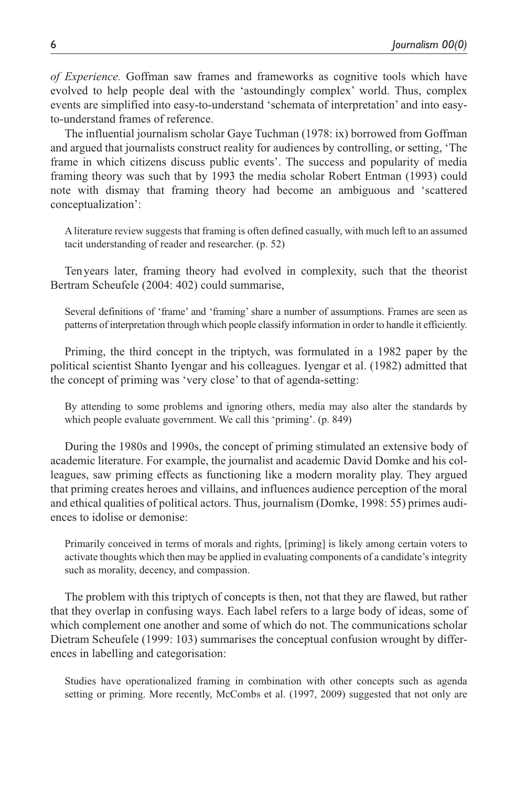*of Experience.* Goffman saw frames and frameworks as cognitive tools which have evolved to help people deal with the 'astoundingly complex' world. Thus, complex events are simplified into easy-to-understand 'schemata of interpretation' and into easyto-understand frames of reference.

The influential journalism scholar Gaye Tuchman (1978: ix) borrowed from Goffman and argued that journalists construct reality for audiences by controlling, or setting, 'The frame in which citizens discuss public events'. The success and popularity of media framing theory was such that by 1993 the media scholar Robert Entman (1993) could note with dismay that framing theory had become an ambiguous and 'scattered conceptualization':

A literature review suggests that framing is often defined casually, with much left to an assumed tacit understanding of reader and researcher. (p. 52)

Tenyears later, framing theory had evolved in complexity, such that the theorist Bertram Scheufele (2004: 402) could summarise,

Several definitions of 'frame' and 'framing' share a number of assumptions. Frames are seen as patterns of interpretation through which people classify information in order to handle it efficiently.

Priming, the third concept in the triptych, was formulated in a 1982 paper by the political scientist Shanto Iyengar and his colleagues. Iyengar et al. (1982) admitted that the concept of priming was 'very close' to that of agenda-setting:

By attending to some problems and ignoring others, media may also alter the standards by which people evaluate government. We call this 'priming'. (p. 849)

During the 1980s and 1990s, the concept of priming stimulated an extensive body of academic literature. For example, the journalist and academic David Domke and his colleagues, saw priming effects as functioning like a modern morality play. They argued that priming creates heroes and villains, and influences audience perception of the moral and ethical qualities of political actors. Thus, journalism (Domke, 1998: 55) primes audiences to idolise or demonise:

Primarily conceived in terms of morals and rights, [priming] is likely among certain voters to activate thoughts which then may be applied in evaluating components of a candidate's integrity such as morality, decency, and compassion.

The problem with this triptych of concepts is then, not that they are flawed, but rather that they overlap in confusing ways. Each label refers to a large body of ideas, some of which complement one another and some of which do not. The communications scholar Dietram Scheufele (1999: 103) summarises the conceptual confusion wrought by differences in labelling and categorisation:

Studies have operationalized framing in combination with other concepts such as agenda setting or priming. More recently, McCombs et al. (1997, 2009) suggested that not only are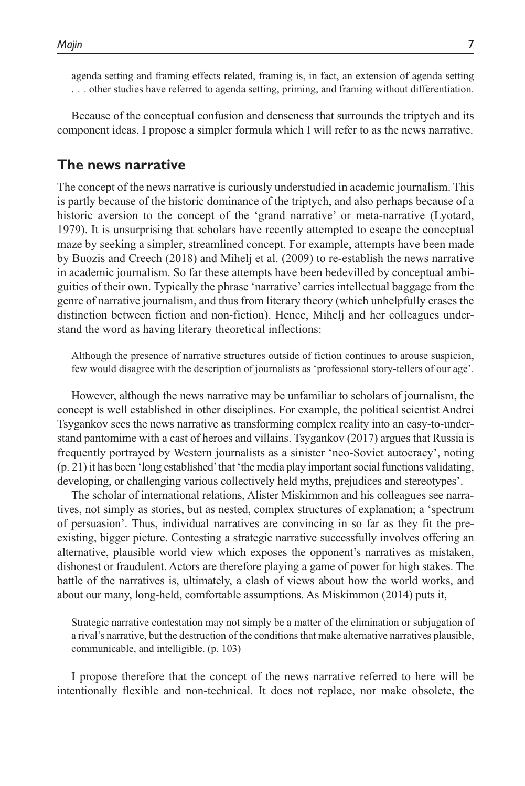agenda setting and framing effects related, framing is, in fact, an extension of agenda setting . . . other studies have referred to agenda setting, priming, and framing without differentiation.

Because of the conceptual confusion and denseness that surrounds the triptych and its component ideas, I propose a simpler formula which I will refer to as the news narrative.

## **The news narrative**

The concept of the news narrative is curiously understudied in academic journalism. This is partly because of the historic dominance of the triptych, and also perhaps because of a historic aversion to the concept of the 'grand narrative' or meta-narrative (Lyotard, 1979). It is unsurprising that scholars have recently attempted to escape the conceptual maze by seeking a simpler, streamlined concept. For example, attempts have been made by Buozis and Creech (2018) and Mihelj et al. (2009) to re-establish the news narrative in academic journalism. So far these attempts have been bedevilled by conceptual ambiguities of their own. Typically the phrase 'narrative' carries intellectual baggage from the genre of narrative journalism, and thus from literary theory (which unhelpfully erases the distinction between fiction and non-fiction). Hence, Mihelj and her colleagues understand the word as having literary theoretical inflections:

Although the presence of narrative structures outside of fiction continues to arouse suspicion, few would disagree with the description of journalists as 'professional story-tellers of our age'.

However, although the news narrative may be unfamiliar to scholars of journalism, the concept is well established in other disciplines. For example, the political scientist Andrei Tsygankov sees the news narrative as transforming complex reality into an easy-to-understand pantomime with a cast of heroes and villains. Tsygankov (2017) argues that Russia is frequently portrayed by Western journalists as a sinister 'neo-Soviet autocracy', noting (p. 21) it has been 'long established' that 'the media play important social functions validating, developing, or challenging various collectively held myths, prejudices and stereotypes'.

The scholar of international relations, Alister Miskimmon and his colleagues see narratives, not simply as stories, but as nested, complex structures of explanation; a 'spectrum of persuasion'. Thus, individual narratives are convincing in so far as they fit the preexisting, bigger picture. Contesting a strategic narrative successfully involves offering an alternative, plausible world view which exposes the opponent's narratives as mistaken, dishonest or fraudulent. Actors are therefore playing a game of power for high stakes. The battle of the narratives is, ultimately, a clash of views about how the world works, and about our many, long-held, comfortable assumptions. As Miskimmon (2014) puts it,

Strategic narrative contestation may not simply be a matter of the elimination or subjugation of a rival's narrative, but the destruction of the conditions that make alternative narratives plausible, communicable, and intelligible. (p. 103)

I propose therefore that the concept of the news narrative referred to here will be intentionally flexible and non-technical. It does not replace, nor make obsolete, the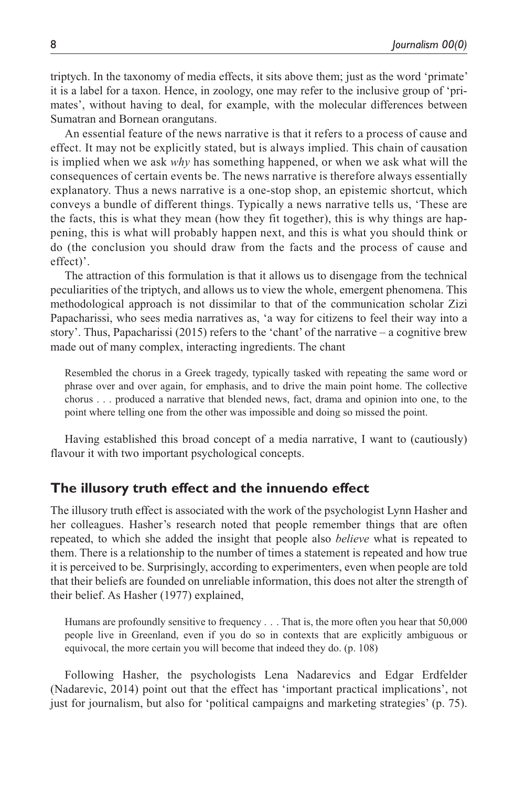triptych. In the taxonomy of media effects, it sits above them; just as the word 'primate' it is a label for a taxon. Hence, in zoology, one may refer to the inclusive group of 'primates', without having to deal, for example, with the molecular differences between Sumatran and Bornean orangutans.

An essential feature of the news narrative is that it refers to a process of cause and effect. It may not be explicitly stated, but is always implied. This chain of causation is implied when we ask *why* has something happened, or when we ask what will the consequences of certain events be. The news narrative is therefore always essentially explanatory. Thus a news narrative is a one-stop shop, an epistemic shortcut, which conveys a bundle of different things. Typically a news narrative tells us, 'These are the facts, this is what they mean (how they fit together), this is why things are happening, this is what will probably happen next, and this is what you should think or do (the conclusion you should draw from the facts and the process of cause and effect)'.

The attraction of this formulation is that it allows us to disengage from the technical peculiarities of the triptych, and allows us to view the whole, emergent phenomena. This methodological approach is not dissimilar to that of the communication scholar Zizi Papacharissi, who sees media narratives as, 'a way for citizens to feel their way into a story'. Thus, Papacharissi (2015) refers to the 'chant' of the narrative – a cognitive brew made out of many complex, interacting ingredients. The chant

Resembled the chorus in a Greek tragedy, typically tasked with repeating the same word or phrase over and over again, for emphasis, and to drive the main point home. The collective chorus . . . produced a narrative that blended news, fact, drama and opinion into one, to the point where telling one from the other was impossible and doing so missed the point.

Having established this broad concept of a media narrative, I want to (cautiously) flavour it with two important psychological concepts.

# **The illusory truth effect and the innuendo effect**

The illusory truth effect is associated with the work of the psychologist Lynn Hasher and her colleagues. Hasher's research noted that people remember things that are often repeated, to which she added the insight that people also *believe* what is repeated to them. There is a relationship to the number of times a statement is repeated and how true it is perceived to be. Surprisingly, according to experimenters, even when people are told that their beliefs are founded on unreliable information, this does not alter the strength of their belief. As Hasher (1977) explained,

Humans are profoundly sensitive to frequency . . . That is, the more often you hear that 50,000 people live in Greenland, even if you do so in contexts that are explicitly ambiguous or equivocal, the more certain you will become that indeed they do. (p. 108)

Following Hasher, the psychologists Lena Nadarevics and Edgar Erdfelder (Nadarevic, 2014) point out that the effect has 'important practical implications', not just for journalism, but also for 'political campaigns and marketing strategies' (p. 75).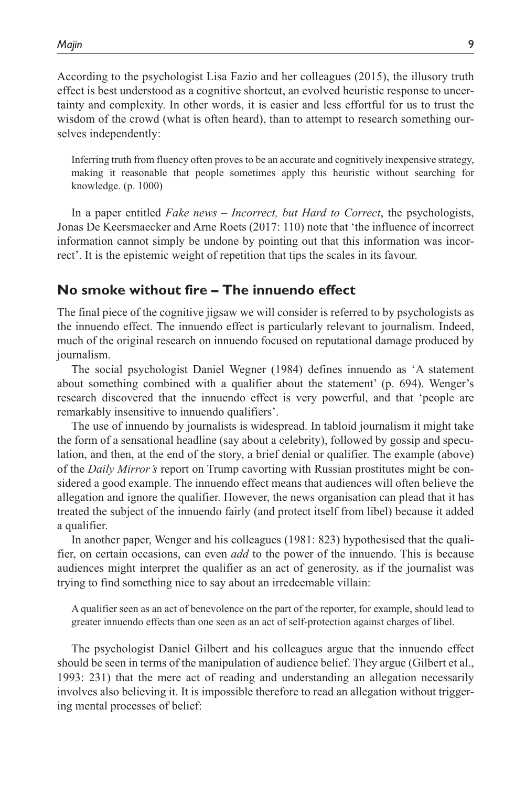According to the psychologist Lisa Fazio and her colleagues (2015), the illusory truth effect is best understood as a cognitive shortcut, an evolved heuristic response to uncertainty and complexity. In other words, it is easier and less effortful for us to trust the wisdom of the crowd (what is often heard), than to attempt to research something ourselves independently:

Inferring truth from fluency often proves to be an accurate and cognitively inexpensive strategy, making it reasonable that people sometimes apply this heuristic without searching for knowledge. (p. 1000)

In a paper entitled *Fake news – Incorrect, but Hard to Correct*, the psychologists, Jonas De Keersmaecker and Arne Roets (2017: 110) note that 'the influence of incorrect information cannot simply be undone by pointing out that this information was incorrect'. It is the epistemic weight of repetition that tips the scales in its favour.

## **No smoke without fire – The innuendo effect**

The final piece of the cognitive jigsaw we will consider is referred to by psychologists as the innuendo effect. The innuendo effect is particularly relevant to journalism. Indeed, much of the original research on innuendo focused on reputational damage produced by journalism.

The social psychologist Daniel Wegner (1984) defines innuendo as 'A statement about something combined with a qualifier about the statement' (p. 694). Wenger's research discovered that the innuendo effect is very powerful, and that 'people are remarkably insensitive to innuendo qualifiers'.

The use of innuendo by journalists is widespread. In tabloid journalism it might take the form of a sensational headline (say about a celebrity), followed by gossip and speculation, and then, at the end of the story, a brief denial or qualifier. The example (above) of the *Daily Mirror's* report on Trump cavorting with Russian prostitutes might be considered a good example. The innuendo effect means that audiences will often believe the allegation and ignore the qualifier. However, the news organisation can plead that it has treated the subject of the innuendo fairly (and protect itself from libel) because it added a qualifier.

In another paper, Wenger and his colleagues (1981: 823) hypothesised that the qualifier, on certain occasions, can even *add* to the power of the innuendo. This is because audiences might interpret the qualifier as an act of generosity, as if the journalist was trying to find something nice to say about an irredeemable villain:

A qualifier seen as an act of benevolence on the part of the reporter, for example, should lead to greater innuendo effects than one seen as an act of self-protection against charges of libel.

The psychologist Daniel Gilbert and his colleagues argue that the innuendo effect should be seen in terms of the manipulation of audience belief. They argue (Gilbert et al., 1993: 231) that the mere act of reading and understanding an allegation necessarily involves also believing it. It is impossible therefore to read an allegation without triggering mental processes of belief: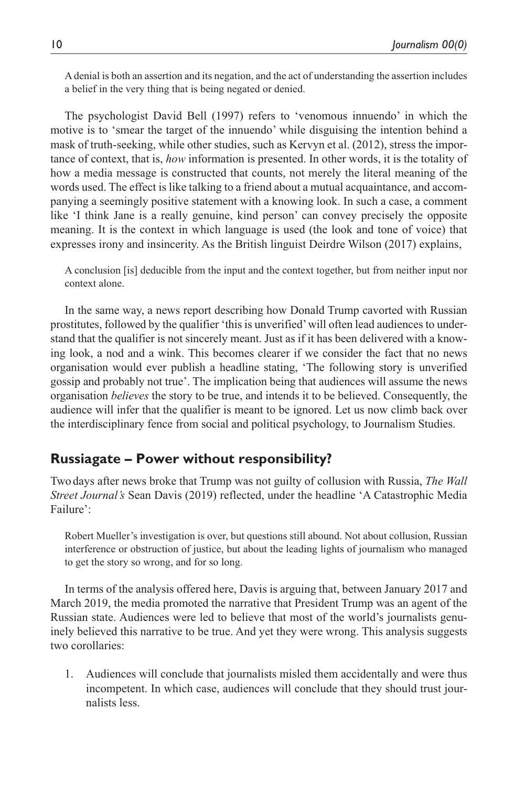A denial is both an assertion and its negation, and the act of understanding the assertion includes a belief in the very thing that is being negated or denied.

The psychologist David Bell (1997) refers to 'venomous innuendo' in which the motive is to 'smear the target of the innuendo' while disguising the intention behind a mask of truth-seeking, while other studies, such as Kervyn et al. (2012), stress the importance of context, that is, *how* information is presented. In other words, it is the totality of how a media message is constructed that counts, not merely the literal meaning of the words used. The effect is like talking to a friend about a mutual acquaintance, and accompanying a seemingly positive statement with a knowing look. In such a case, a comment like 'I think Jane is a really genuine, kind person' can convey precisely the opposite meaning. It is the context in which language is used (the look and tone of voice) that expresses irony and insincerity. As the British linguist Deirdre Wilson (2017) explains,

A conclusion [is] deducible from the input and the context together, but from neither input nor context alone.

In the same way, a news report describing how Donald Trump cavorted with Russian prostitutes, followed by the qualifier 'this is unverified' will often lead audiences to understand that the qualifier is not sincerely meant. Just as if it has been delivered with a knowing look, a nod and a wink. This becomes clearer if we consider the fact that no news organisation would ever publish a headline stating, 'The following story is unverified gossip and probably not true'. The implication being that audiences will assume the news organisation *believes* the story to be true, and intends it to be believed. Consequently, the audience will infer that the qualifier is meant to be ignored. Let us now climb back over the interdisciplinary fence from social and political psychology, to Journalism Studies.

# **Russiagate – Power without responsibility?**

Two days after news broke that Trump was not guilty of collusion with Russia, *The Wall Street Journal's* Sean Davis (2019) reflected, under the headline 'A Catastrophic Media Failure':

Robert Mueller's investigation is over, but questions still abound. Not about collusion, Russian interference or obstruction of justice, but about the leading lights of journalism who managed to get the story so wrong, and for so long.

In terms of the analysis offered here, Davis is arguing that, between January 2017 and March 2019, the media promoted the narrative that President Trump was an agent of the Russian state. Audiences were led to believe that most of the world's journalists genuinely believed this narrative to be true. And yet they were wrong. This analysis suggests two corollaries:

1. Audiences will conclude that journalists misled them accidentally and were thus incompetent. In which case, audiences will conclude that they should trust journalists less.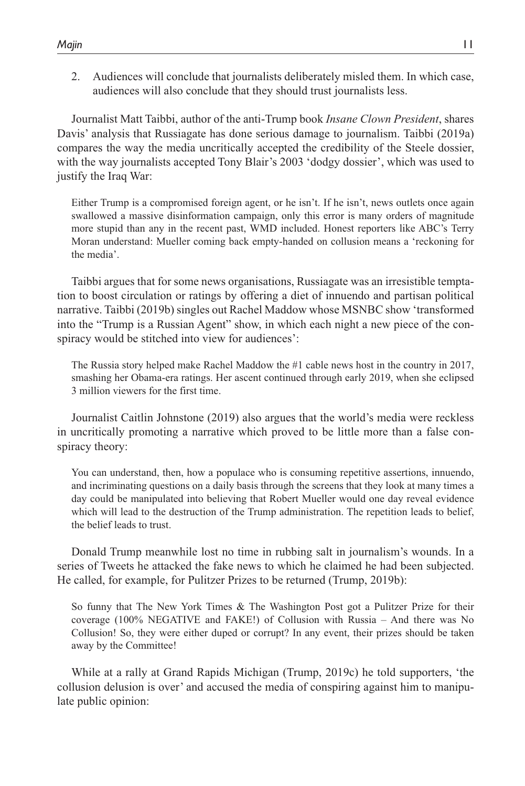2. Audiences will conclude that journalists deliberately misled them. In which case, audiences will also conclude that they should trust journalists less.

Journalist Matt Taibbi, author of the anti-Trump book *Insane Clown President*, shares Davis' analysis that Russiagate has done serious damage to journalism. Taibbi (2019a) compares the way the media uncritically accepted the credibility of the Steele dossier, with the way journalists accepted Tony Blair's 2003 'dodgy dossier', which was used to justify the Iraq War:

Either Trump is a compromised foreign agent, or he isn't. If he isn't, news outlets once again swallowed a massive disinformation campaign, only this error is many orders of magnitude more stupid than any in the recent past, WMD included. Honest reporters like ABC's Terry Moran understand: Mueller coming back empty-handed on collusion means a 'reckoning for the media'.

Taibbi argues that for some news organisations, Russiagate was an irresistible temptation to boost circulation or ratings by offering a diet of innuendo and partisan political narrative. Taibbi (2019b) singles out Rachel Maddow whose MSNBC show 'transformed into the "Trump is a Russian Agent" show, in which each night a new piece of the conspiracy would be stitched into view for audiences':

The Russia story helped make Rachel Maddow the #1 cable news host in the country in 2017, smashing her Obama-era ratings. Her ascent continued through early 2019, when she eclipsed 3 million viewers for the first time.

Journalist Caitlin Johnstone (2019) also argues that the world's media were reckless in uncritically promoting a narrative which proved to be little more than a false conspiracy theory:

You can understand, then, how a populace who is consuming repetitive assertions, innuendo, and incriminating questions on a daily basis through the screens that they look at many times a day could be manipulated into believing that Robert Mueller would one day reveal evidence which will lead to the destruction of the Trump administration. The repetition leads to belief, the belief leads to trust.

Donald Trump meanwhile lost no time in rubbing salt in journalism's wounds. In a series of Tweets he attacked the fake news to which he claimed he had been subjected. He called, for example, for Pulitzer Prizes to be returned (Trump, 2019b):

So funny that The New York Times & The Washington Post got a Pulitzer Prize for their coverage (100% NEGATIVE and FAKE!) of Collusion with Russia – And there was No Collusion! So, they were either duped or corrupt? In any event, their prizes should be taken away by the Committee!

While at a rally at Grand Rapids Michigan (Trump, 2019c) he told supporters, 'the collusion delusion is over' and accused the media of conspiring against him to manipulate public opinion: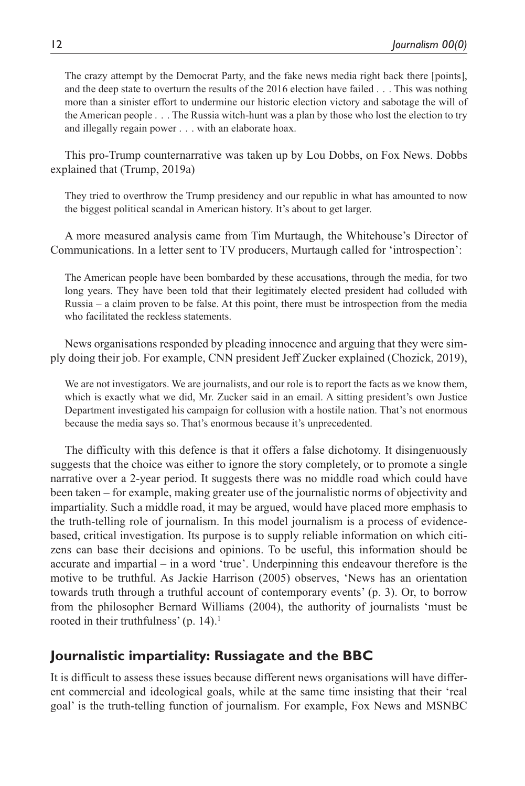The crazy attempt by the Democrat Party, and the fake news media right back there [points], and the deep state to overturn the results of the 2016 election have failed . . . This was nothing more than a sinister effort to undermine our historic election victory and sabotage the will of the American people . . . The Russia witch-hunt was a plan by those who lost the election to try and illegally regain power . . . with an elaborate hoax.

This pro-Trump counternarrative was taken up by Lou Dobbs, on Fox News. Dobbs explained that (Trump, 2019a)

They tried to overthrow the Trump presidency and our republic in what has amounted to now the biggest political scandal in American history. It's about to get larger.

A more measured analysis came from Tim Murtaugh, the Whitehouse's Director of Communications. In a letter sent to TV producers, Murtaugh called for 'introspection':

The American people have been bombarded by these accusations, through the media, for two long years. They have been told that their legitimately elected president had colluded with Russia – a claim proven to be false. At this point, there must be introspection from the media who facilitated the reckless statements.

News organisations responded by pleading innocence and arguing that they were simply doing their job. For example, CNN president Jeff Zucker explained (Chozick, 2019),

We are not investigators. We are journalists, and our role is to report the facts as we know them, which is exactly what we did, Mr. Zucker said in an email. A sitting president's own Justice Department investigated his campaign for collusion with a hostile nation. That's not enormous because the media says so. That's enormous because it's unprecedented.

The difficulty with this defence is that it offers a false dichotomy. It disingenuously suggests that the choice was either to ignore the story completely, or to promote a single narrative over a 2-year period. It suggests there was no middle road which could have been taken – for example, making greater use of the journalistic norms of objectivity and impartiality. Such a middle road, it may be argued, would have placed more emphasis to the truth-telling role of journalism. In this model journalism is a process of evidencebased, critical investigation. Its purpose is to supply reliable information on which citizens can base their decisions and opinions. To be useful, this information should be accurate and impartial – in a word 'true'. Underpinning this endeavour therefore is the motive to be truthful. As Jackie Harrison (2005) observes, 'News has an orientation towards truth through a truthful account of contemporary events' (p. 3). Or, to borrow from the philosopher Bernard Williams (2004), the authority of journalists 'must be rooted in their truthfulness' (p. 14).<sup>1</sup>

# **Journalistic impartiality: Russiagate and the BBC**

It is difficult to assess these issues because different news organisations will have different commercial and ideological goals, while at the same time insisting that their 'real goal' is the truth-telling function of journalism. For example, Fox News and MSNBC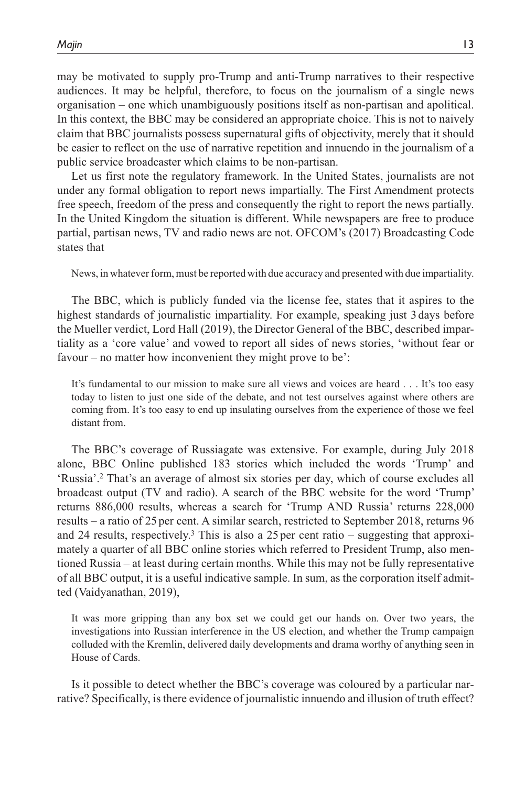may be motivated to supply pro-Trump and anti-Trump narratives to their respective audiences. It may be helpful, therefore, to focus on the journalism of a single news organisation – one which unambiguously positions itself as non-partisan and apolitical. In this context, the BBC may be considered an appropriate choice. This is not to naively claim that BBC journalists possess supernatural gifts of objectivity, merely that it should be easier to reflect on the use of narrative repetition and innuendo in the journalism of a public service broadcaster which claims to be non-partisan.

Let us first note the regulatory framework. In the United States, journalists are not under any formal obligation to report news impartially. The First Amendment protects free speech, freedom of the press and consequently the right to report the news partially. In the United Kingdom the situation is different. While newspapers are free to produce partial, partisan news, TV and radio news are not. OFCOM's (2017) Broadcasting Code states that

News, in whatever form, must be reported with due accuracy and presented with due impartiality.

The BBC, which is publicly funded via the license fee, states that it aspires to the highest standards of journalistic impartiality. For example, speaking just 3days before the Mueller verdict, Lord Hall (2019), the Director General of the BBC, described impartiality as a 'core value' and vowed to report all sides of news stories, 'without fear or favour – no matter how inconvenient they might prove to be':

It's fundamental to our mission to make sure all views and voices are heard . . . It's too easy today to listen to just one side of the debate, and not test ourselves against where others are coming from. It's too easy to end up insulating ourselves from the experience of those we feel distant from.

The BBC's coverage of Russiagate was extensive. For example, during July 2018 alone, BBC Online published 183 stories which included the words 'Trump' and 'Russia'.2 That's an average of almost six stories per day, which of course excludes all broadcast output (TV and radio). A search of the BBC website for the word 'Trump' returns 886,000 results, whereas a search for 'Trump AND Russia' returns 228,000 results – a ratio of 25per cent. A similar search, restricted to September 2018, returns 96 and 24 results, respectively.<sup>3</sup> This is also a 25 per cent ratio – suggesting that approximately a quarter of all BBC online stories which referred to President Trump, also mentioned Russia – at least during certain months. While this may not be fully representative of all BBC output, it is a useful indicative sample. In sum, as the corporation itself admitted (Vaidyanathan, 2019),

It was more gripping than any box set we could get our hands on. Over two years, the investigations into Russian interference in the US election, and whether the Trump campaign colluded with the Kremlin, delivered daily developments and drama worthy of anything seen in House of Cards.

Is it possible to detect whether the BBC's coverage was coloured by a particular narrative? Specifically, is there evidence of journalistic innuendo and illusion of truth effect?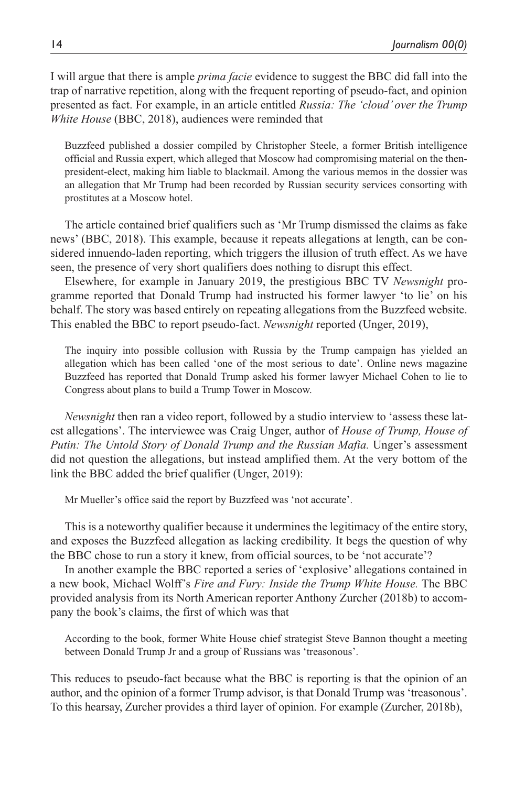I will argue that there is ample *prima facie* evidence to suggest the BBC did fall into the trap of narrative repetition, along with the frequent reporting of pseudo-fact, and opinion presented as fact. For example, in an article entitled *Russia: The 'cloud' over the Trump White House* (BBC, 2018), audiences were reminded that

Buzzfeed published a dossier compiled by Christopher Steele, a former British intelligence official and Russia expert, which alleged that Moscow had compromising material on the thenpresident-elect, making him liable to blackmail. Among the various memos in the dossier was an allegation that Mr Trump had been recorded by Russian security services consorting with prostitutes at a Moscow hotel.

The article contained brief qualifiers such as 'Mr Trump dismissed the claims as fake news' (BBC, 2018). This example, because it repeats allegations at length, can be considered innuendo-laden reporting, which triggers the illusion of truth effect. As we have seen, the presence of very short qualifiers does nothing to disrupt this effect.

Elsewhere, for example in January 2019, the prestigious BBC TV *Newsnight* programme reported that Donald Trump had instructed his former lawyer 'to lie' on his behalf. The story was based entirely on repeating allegations from the Buzzfeed website. This enabled the BBC to report pseudo-fact. *Newsnight* reported (Unger, 2019),

The inquiry into possible collusion with Russia by the Trump campaign has yielded an allegation which has been called 'one of the most serious to date'. Online news magazine Buzzfeed has reported that Donald Trump asked his former lawyer Michael Cohen to lie to Congress about plans to build a Trump Tower in Moscow.

*Newsnight* then ran a video report, followed by a studio interview to 'assess these latest allegations'. The interviewee was Craig Unger, author of *House of Trump, House of Putin: The Untold Story of Donald Trump and the Russian Mafia.* Unger's assessment did not question the allegations, but instead amplified them. At the very bottom of the link the BBC added the brief qualifier (Unger, 2019):

Mr Mueller's office said the report by Buzzfeed was 'not accurate'.

This is a noteworthy qualifier because it undermines the legitimacy of the entire story, and exposes the Buzzfeed allegation as lacking credibility. It begs the question of why the BBC chose to run a story it knew, from official sources, to be 'not accurate'?

In another example the BBC reported a series of 'explosive' allegations contained in a new book, Michael Wolff's *Fire and Fury: Inside the Trump White House.* The BBC provided analysis from its North American reporter Anthony Zurcher (2018b) to accompany the book's claims, the first of which was that

According to the book, former White House chief strategist Steve Bannon thought a meeting between Donald Trump Jr and a group of Russians was 'treasonous'.

This reduces to pseudo-fact because what the BBC is reporting is that the opinion of an author, and the opinion of a former Trump advisor, is that Donald Trump was 'treasonous'. To this hearsay, Zurcher provides a third layer of opinion. For example (Zurcher, 2018b),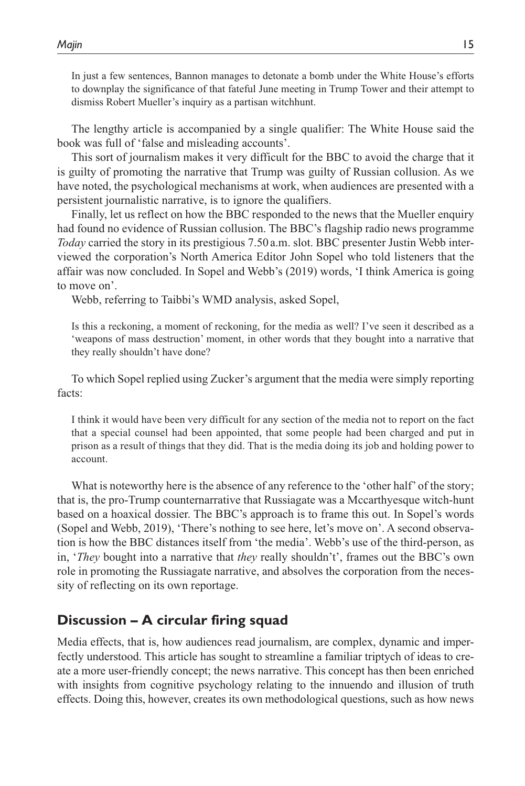In just a few sentences, Bannon manages to detonate a bomb under the White House's efforts to downplay the significance of that fateful June meeting in Trump Tower and their attempt to dismiss Robert Mueller's inquiry as a partisan witchhunt.

The lengthy article is accompanied by a single qualifier: The White House said the book was full of 'false and misleading accounts'.

This sort of journalism makes it very difficult for the BBC to avoid the charge that it is guilty of promoting the narrative that Trump was guilty of Russian collusion. As we have noted, the psychological mechanisms at work, when audiences are presented with a persistent journalistic narrative, is to ignore the qualifiers.

Finally, let us reflect on how the BBC responded to the news that the Mueller enquiry had found no evidence of Russian collusion. The BBC's flagship radio news programme *Today* carried the story in its prestigious 7.50 a.m. slot. BBC presenter Justin Webb interviewed the corporation's North America Editor John Sopel who told listeners that the affair was now concluded. In Sopel and Webb's (2019) words, 'I think America is going to move on'.

Webb, referring to Taibbi's WMD analysis, asked Sopel,

Is this a reckoning, a moment of reckoning, for the media as well? I've seen it described as a 'weapons of mass destruction' moment, in other words that they bought into a narrative that they really shouldn't have done?

To which Sopel replied using Zucker's argument that the media were simply reporting facts:

I think it would have been very difficult for any section of the media not to report on the fact that a special counsel had been appointed, that some people had been charged and put in prison as a result of things that they did. That is the media doing its job and holding power to account.

What is noteworthy here is the absence of any reference to the 'other half' of the story; that is, the pro-Trump counternarrative that Russiagate was a Mccarthyesque witch-hunt based on a hoaxical dossier. The BBC's approach is to frame this out. In Sopel's words (Sopel and Webb, 2019), 'There's nothing to see here, let's move on'. A second observation is how the BBC distances itself from 'the media'. Webb's use of the third-person, as in, '*They* bought into a narrative that *they* really shouldn't', frames out the BBC's own role in promoting the Russiagate narrative, and absolves the corporation from the necessity of reflecting on its own reportage.

# **Discussion – A circular firing squad**

Media effects, that is, how audiences read journalism, are complex, dynamic and imperfectly understood. This article has sought to streamline a familiar triptych of ideas to create a more user-friendly concept; the news narrative. This concept has then been enriched with insights from cognitive psychology relating to the innuendo and illusion of truth effects. Doing this, however, creates its own methodological questions, such as how news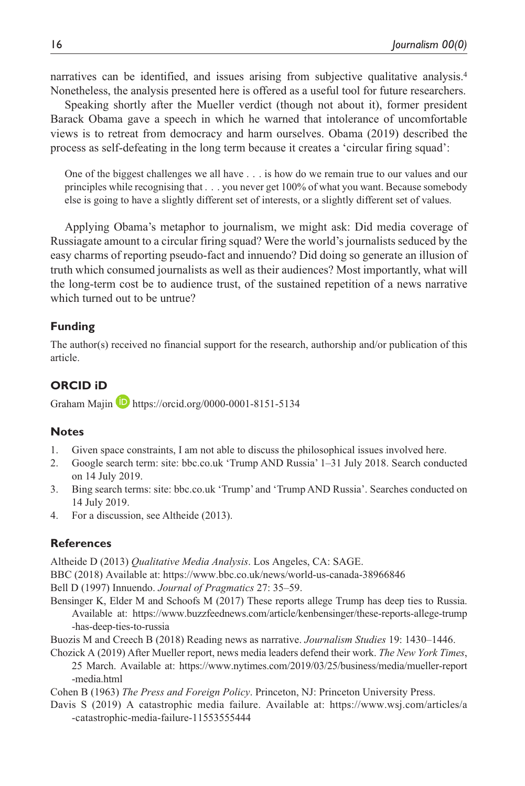narratives can be identified, and issues arising from subjective qualitative analysis.<sup>4</sup> Nonetheless, the analysis presented here is offered as a useful tool for future researchers.

Speaking shortly after the Mueller verdict (though not about it), former president Barack Obama gave a speech in which he warned that intolerance of uncomfortable views is to retreat from democracy and harm ourselves. Obama (2019) described the process as self-defeating in the long term because it creates a 'circular firing squad':

One of the biggest challenges we all have . . . is how do we remain true to our values and our principles while recognising that . . . you never get 100% of what you want. Because somebody else is going to have a slightly different set of interests, or a slightly different set of values.

Applying Obama's metaphor to journalism, we might ask: Did media coverage of Russiagate amount to a circular firing squad? Were the world's journalists seduced by the easy charms of reporting pseudo-fact and innuendo? Did doing so generate an illusion of truth which consumed journalists as well as their audiences? Most importantly, what will the long-term cost be to audience trust, of the sustained repetition of a news narrative which turned out to be untrue?

#### **Funding**

The author(s) received no financial support for the research, authorship and/or publication of this article.

#### **ORCID iD**

Graham Majin **<https://orcid.org/0000-0001-8151-5134>** 

#### **Notes**

- 1. Given space constraints, I am not able to discuss the philosophical issues involved here.
- 2. Google search term: site: bbc.co.uk 'Trump AND Russia' 1–31 July 2018. Search conducted on 14 July 2019.
- 3. Bing search terms: site: bbc.co.uk 'Trump' and 'Trump AND Russia'. Searches conducted on 14 July 2019.
- 4. For a discussion, see Altheide (2013).

#### **References**

Altheide D (2013) *Qualitative Media Analysis*. Los Angeles, CA: SAGE.

BBC (2018) Available at: <https://www.bbc.co.uk/news/world-us-canada-38966846>

Bell D (1997) Innuendo. *Journal of Pragmatics* 27: 35–59.

- Bensinger K, Elder M and Schoofs M (2017) These reports allege Trump has deep ties to Russia. Available at: [https://www.buzzfeednews.com/article/kenbensinger/these-reports-allege-trump](https://www.buzzfeednews.com/article/kenbensinger/these-reports-allege-trump-has-deep-ties-to-russia) [-has-deep-ties-to-russia](https://www.buzzfeednews.com/article/kenbensinger/these-reports-allege-trump-has-deep-ties-to-russia)
- Buozis M and Creech B (2018) Reading news as narrative. *Journalism Studies* 19: 1430–1446.
- Chozick A (2019) After Mueller report, news media leaders defend their work. *The New York Times*, 25 March. Available at: [https://www.nytimes.com/2019/03/25/business/media/mueller-report](https://www.nytimes.com/2019/03/25/business/media/mueller-report-media.html) [-media.html](https://www.nytimes.com/2019/03/25/business/media/mueller-report-media.html)

Cohen B (1963) *The Press and Foreign Policy*. Princeton, NJ: Princeton University Press.

Davis S (2019) A catastrophic media failure. Available at: [https://www.wsj.com/articles/a](https://www.wsj.com/articles/a-catastrophic-media-failure-11553555444) [-catastrophic-media-failure-11553555444](https://www.wsj.com/articles/a-catastrophic-media-failure-11553555444)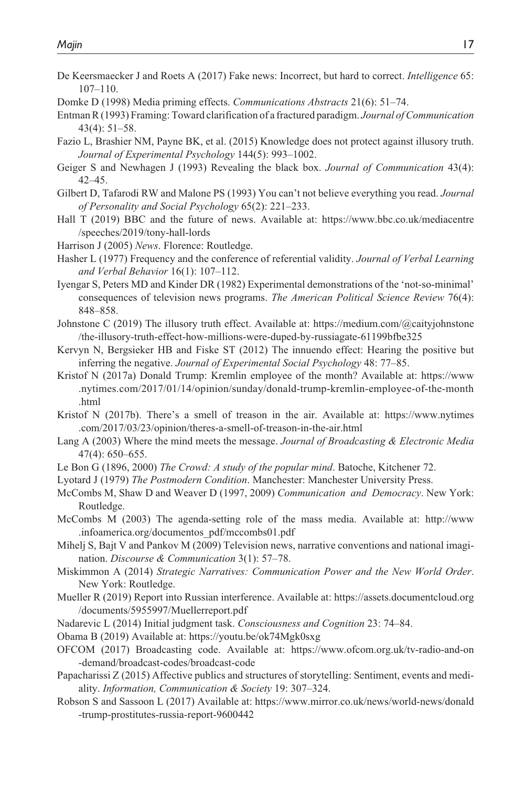- De Keersmaecker J and Roets A (2017) Fake news: Incorrect, but hard to correct. *Intelligence* 65: 107–110.
- Domke D (1998) Media priming effects. *Communications Abstracts* 21(6): 51–74.
- Entman R (1993) Framing: Toward clarification of a fractured paradigm. *Journal of Communication* 43(4): 51–58.
- Fazio L, Brashier NM, Payne BK, et al. (2015) Knowledge does not protect against illusory truth. *Journal of Experimental Psychology* 144(5): 993–1002.
- Geiger S and Newhagen J (1993) Revealing the black box. *Journal of Communication* 43(4): 42–45.
- Gilbert D, Tafarodi RW and Malone PS (1993) You can't not believe everything you read. *Journal of Personality and Social Psychology* 65(2): 221–233.
- Hall T (2019) BBC and the future of news. Available at: [https://www.bbc.co.uk/mediacentre](https://www.bbc.co.uk/mediacentre/speeches/2019/tony-hall-lords) [/speeches/2019/tony-hall-lords](https://www.bbc.co.uk/mediacentre/speeches/2019/tony-hall-lords)
- Harrison J (2005) *News*. Florence: Routledge.
- Hasher L (1977) Frequency and the conference of referential validity. *Journal of Verbal Learning and Verbal Behavior* 16(1): 107–112.
- Iyengar S, Peters MD and Kinder DR (1982) Experimental demonstrations of the 'not-so-minimal' consequences of television news programs. *The American Political Science Review* 76(4): 848–858.
- Johnstone C (2019) The illusory truth effect. Available at: [https://medium.com/@caityjohnstone](https://medium.com/@caityjohnstone/the-illusory-truth-effect-how-millions-were-duped-by-russiagate-61199bfbe325) [/the-illusory-truth-effect-how-millions-were-duped-by-russiagate-61199bfbe325](https://medium.com/@caityjohnstone/the-illusory-truth-effect-how-millions-were-duped-by-russiagate-61199bfbe325)
- Kervyn N, Bergsieker HB and Fiske ST (2012) The innuendo effect: Hearing the positive but inferring the negative. *Journal of Experimental Social Psychology* 48: 77–85.
- Kristof N (2017a) Donald Trump: Kremlin employee of the month? Available at: [https://www](https://www.nytimes.com/2017/01/14/opinion/sunday/donald-trump-kremlin-employee-of-the-month.html) [.nytimes.com/2017/01/14/opinion/sunday/donald-trump-kremlin-employee-of-the-month](https://www.nytimes.com/2017/01/14/opinion/sunday/donald-trump-kremlin-employee-of-the-month.html) [.html](https://www.nytimes.com/2017/01/14/opinion/sunday/donald-trump-kremlin-employee-of-the-month.html)
- Kristof N (2017b). There's a smell of treason in the air. Available at: [https://www.nytimes](https://www.nytimes.com/2017/03/23/opinion/theres-a-smell-of-treason-in-the-air.html) [.com/2017/03/23/opinion/theres-a-smell-of-treason-in-the-air.html](https://www.nytimes.com/2017/03/23/opinion/theres-a-smell-of-treason-in-the-air.html)
- Lang A (2003) Where the mind meets the message. *Journal of Broadcasting & Electronic Media* 47(4): 650–655.
- Le Bon G (1896, 2000) *The Crowd: A study of the popular mind*. Batoche, Kitchener 72.
- Lyotard J (1979) *The Postmodern Condition*. Manchester: Manchester University Press.
- McCombs M, Shaw D and Weaver D (1997, 2009) *Communication and Democracy*. New York: Routledge.
- McCombs M (2003) The agenda-setting role of the mass media. Available at: [http://www](http://www.infoamerica.org/documentos_pdf/mccombs01.pdf) [.infoamerica.org/documentos\\_pdf/mccombs01.pdf](http://www.infoamerica.org/documentos_pdf/mccombs01.pdf)
- Mihelj S, Bajt V and Pankov M (2009) Television news, narrative conventions and national imagination. *Discourse & Communication* 3(1): 57–78.
- Miskimmon A (2014) *Strategic Narratives: Communication Power and the New World Order*. New York: Routledge.
- Mueller R (2019) Report into Russian interference. Available at: [https://assets.documentcloud.org](https://assets.documentcloud.org/documents/5955997/Muellerreport.pdf) [/documents/5955997/Muellerreport.pdf](https://assets.documentcloud.org/documents/5955997/Muellerreport.pdf)
- Nadarevic L (2014) Initial judgment task. *Consciousness and Cognition* 23: 74–84.
- Obama B (2019) Available at:<https://youtu.be/ok74Mgk0sxg>
- OFCOM (2017) Broadcasting code. Available at: [https://www.ofcom.org.uk/tv-radio-and-on](https://www.ofcom.org.uk/tv-radio-and-on-demand/broadcast-codes/broadcast-code) [-demand/broadcast-codes/broadcast-code](https://www.ofcom.org.uk/tv-radio-and-on-demand/broadcast-codes/broadcast-code)
- Papacharissi Z (2015) Affective publics and structures of storytelling: Sentiment, events and mediality. *Information, Communication & Society* 19: 307–324.
- Robson S and Sassoon L (2017) Available at: [https://www.mirror.co.uk/news/world-news/donald](https://www.mirror.co.uk/news/world-news/donald-trump-prostitutes-russia-report-9600442) [-trump-prostitutes-russia-report-9600442](https://www.mirror.co.uk/news/world-news/donald-trump-prostitutes-russia-report-9600442)